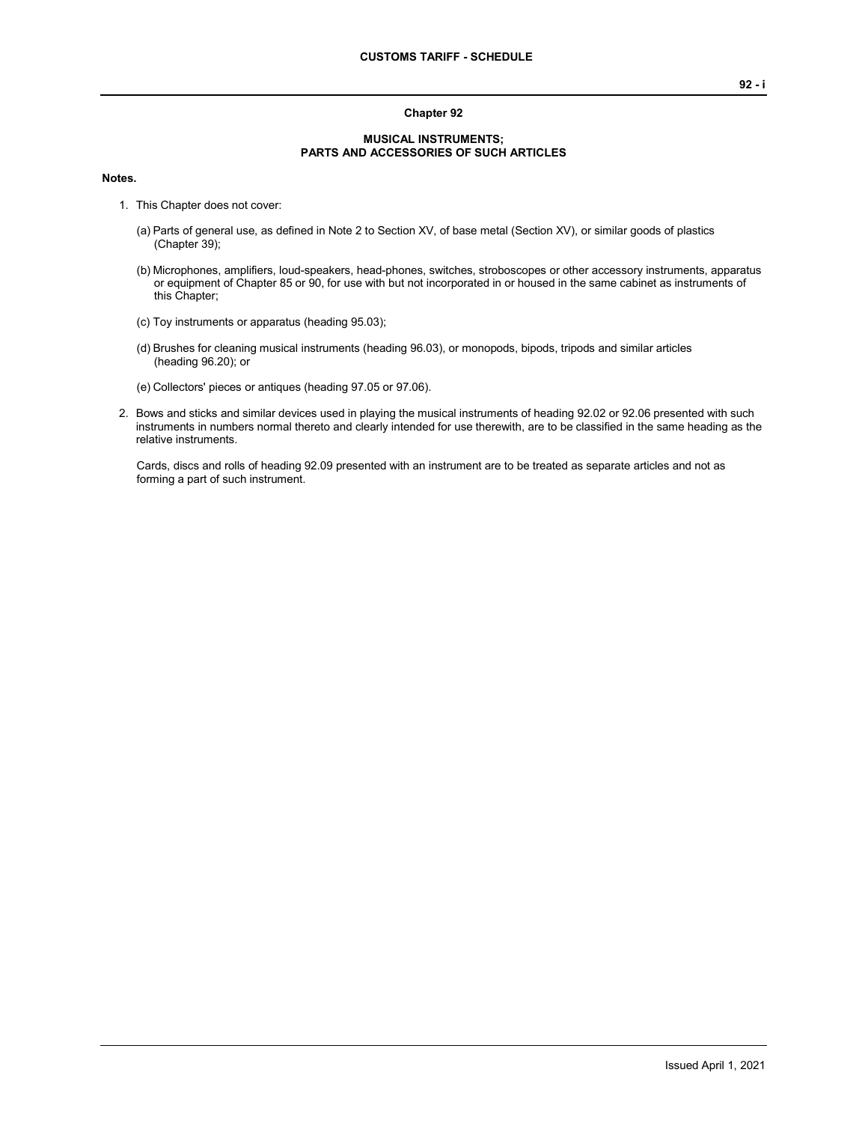## **MUSICAL INSTRUMENTS; PARTS AND ACCESSORIES OF SUCH ARTICLES**

**Chapter 92**

## **Notes.**

- 1. This Chapter does not cover:
	- (a) Parts of general use, as defined in Note 2 to Section XV, of base metal (Section XV), or similar goods of plastics (Chapter 39);
	- (b) Microphones, amplifiers, loud-speakers, head-phones, switches, stroboscopes or other accessory instruments, apparatus or equipment of Chapter 85 or 90, for use with but not incorporated in or housed in the same cabinet as instruments of this Chapter;
	- (c) Toy instruments or apparatus (heading 95.03);
	- (d) Brushes for cleaning musical instruments (heading 96.03), or monopods, bipods, tripods and similar articles (heading 96.20); or
	- (e) Collectors' pieces or antiques (heading 97.05 or 97.06).
- 2. Bows and sticks and similar devices used in playing the musical instruments of heading 92.02 or 92.06 presented with such instruments in numbers normal thereto and clearly intended for use therewith, are to be classified in the same heading as the relative instruments.

Cards, discs and rolls of heading 92.09 presented with an instrument are to be treated as separate articles and not as forming a part of such instrument.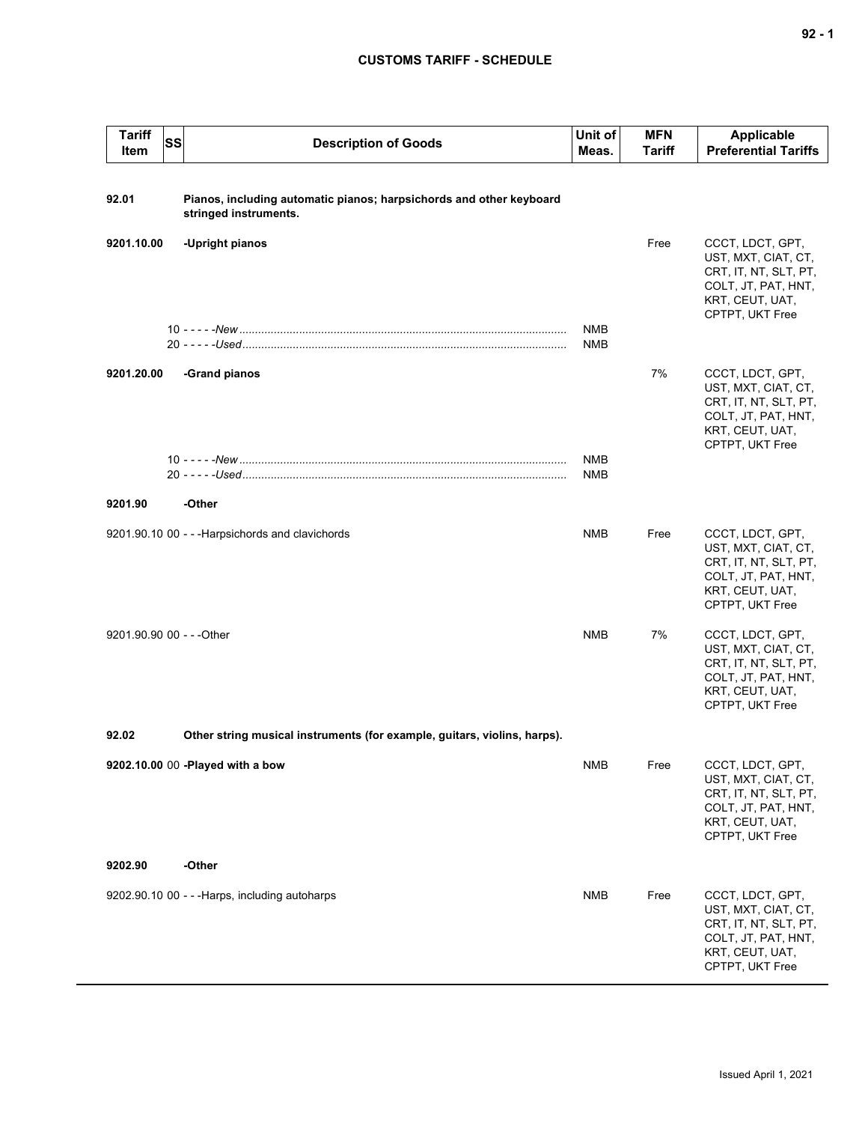## **CUSTOMS TARIFF - SCHEDULE**

| <b>Tariff</b><br>Item     | <b>SS</b><br><b>Description of Goods</b>                                                     | Unit of<br>Meas.         | <b>MFN</b><br><b>Tariff</b> | <b>Applicable</b><br><b>Preferential Tariffs</b>                                                                              |
|---------------------------|----------------------------------------------------------------------------------------------|--------------------------|-----------------------------|-------------------------------------------------------------------------------------------------------------------------------|
| 92.01                     | Pianos, including automatic pianos; harpsichords and other keyboard<br>stringed instruments. |                          |                             |                                                                                                                               |
| 9201.10.00                | -Upright pianos                                                                              |                          | Free                        | CCCT, LDCT, GPT,<br>UST, MXT, CIAT, CT,<br>CRT, IT, NT, SLT, PT,<br>COLT, JT, PAT, HNT,<br>KRT, CEUT, UAT,<br>CPTPT, UKT Free |
|                           |                                                                                              | <b>NMB</b><br><b>NMB</b> |                             |                                                                                                                               |
| 9201.20.00                | -Grand pianos                                                                                |                          | 7%                          | CCCT, LDCT, GPT,<br>UST, MXT, CIAT, CT,<br>CRT, IT, NT, SLT, PT,<br>COLT, JT, PAT, HNT,<br>KRT, CEUT, UAT,<br>CPTPT, UKT Free |
|                           |                                                                                              | <b>NMB</b><br><b>NMB</b> |                             |                                                                                                                               |
| 9201.90                   | -Other                                                                                       |                          |                             |                                                                                                                               |
|                           | 9201.90.10 00 - - - Harpsichords and clavichords                                             | <b>NMB</b>               | Free                        | CCCT, LDCT, GPT,<br>UST, MXT, CIAT, CT,<br>CRT, IT, NT, SLT, PT,<br>COLT, JT, PAT, HNT,<br>KRT, CEUT, UAT,<br>CPTPT, UKT Free |
| 9201.90.90 00 - - - Other |                                                                                              | <b>NMB</b>               | 7%                          | CCCT, LDCT, GPT,<br>UST, MXT, CIAT, CT,<br>CRT, IT, NT, SLT, PT,<br>COLT, JT, PAT, HNT,<br>KRT, CEUT, UAT,<br>CPTPT, UKT Free |
| 92.02                     | Other string musical instruments (for example, guitars, violins, harps).                     |                          |                             |                                                                                                                               |
|                           | 9202.10.00 00 -Played with a bow                                                             | <b>NMB</b>               | Free                        | CCCT, LDCT, GPT,<br>UST, MXT, CIAT, CT,<br>CRT, IT, NT, SLT, PT,<br>COLT, JT, PAT, HNT,<br>KRT, CEUT, UAT,<br>CPTPT, UKT Free |
| 9202.90                   | -Other                                                                                       |                          |                             |                                                                                                                               |
|                           | 9202.90.10 00 - - - Harps, including autoharps                                               | <b>NMB</b>               | Free                        | CCCT, LDCT, GPT,<br>UST, MXT, CIAT, CT,<br>CRT, IT, NT, SLT, PT,<br>COLT, JT, PAT, HNT,<br>KRT, CEUT, UAT,<br>CPTPT, UKT Free |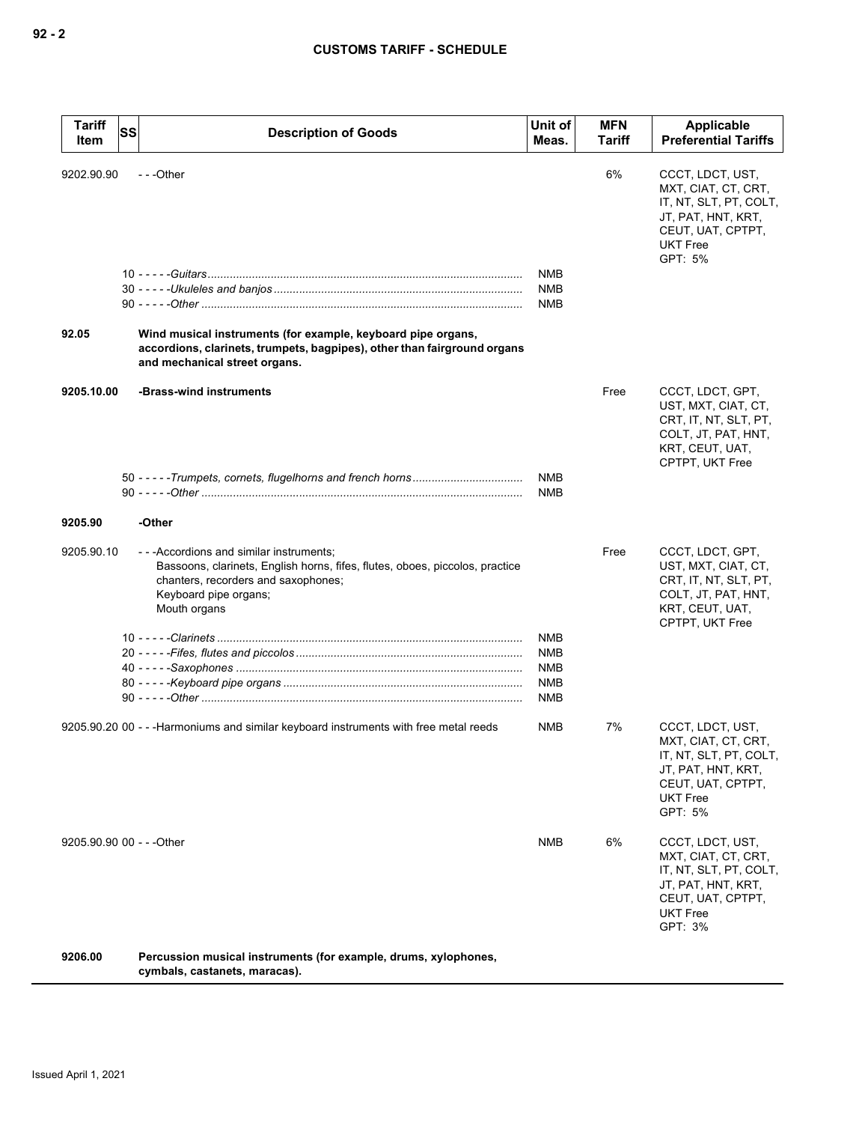| <b>Tariff</b><br>Item     | SS | <b>Description of Goods</b>                                                                                                                                                                            | Unit of<br>Meas.                                                   | <b>MFN</b><br>Tariff | Applicable<br><b>Preferential Tariffs</b>                                                                                                  |
|---------------------------|----|--------------------------------------------------------------------------------------------------------------------------------------------------------------------------------------------------------|--------------------------------------------------------------------|----------------------|--------------------------------------------------------------------------------------------------------------------------------------------|
| 9202.90.90<br>92.05       |    | ---Other<br>Wind musical instruments (for example, keyboard pipe organs,<br>accordions, clarinets, trumpets, bagpipes), other than fairground organs<br>and mechanical street organs.                  | <b>NMB</b><br><b>NMB</b><br>NMB                                    | 6%                   | CCCT, LDCT, UST,<br>MXT, CIAT, CT, CRT,<br>IT, NT, SLT, PT, COLT,<br>JT, PAT, HNT, KRT,<br>CEUT, UAT, CPTPT,<br><b>UKT Free</b><br>GPT: 5% |
| 9205.10.00                |    | -Brass-wind instruments                                                                                                                                                                                | <b>NMB</b><br><b>NMB</b>                                           | Free                 | CCCT, LDCT, GPT,<br>UST, MXT, CIAT, CT,<br>CRT, IT, NT, SLT, PT,<br>COLT, JT, PAT, HNT,<br>KRT, CEUT, UAT,<br>CPTPT, UKT Free              |
| 9205.90                   |    | -Other                                                                                                                                                                                                 |                                                                    |                      |                                                                                                                                            |
| 9205.90.10                |    | ---Accordions and similar instruments;<br>Bassoons, clarinets, English horns, fifes, flutes, oboes, piccolos, practice<br>chanters, recorders and saxophones;<br>Keyboard pipe organs;<br>Mouth organs | <b>NMB</b><br><b>NMB</b><br><b>NMB</b><br><b>NMB</b><br><b>NMB</b> | Free                 | CCCT, LDCT, GPT,<br>UST, MXT, CIAT, CT,<br>CRT, IT, NT, SLT, PT,<br>COLT, JT, PAT, HNT,<br>KRT, CEUT, UAT,<br>CPTPT, UKT Free              |
|                           |    | 9205.90.20 00 - - - Harmoniums and similar keyboard instruments with free metal reeds                                                                                                                  | <b>NMB</b>                                                         | 7%                   | CCCT, LDCT, UST,<br>MXT, CIAT, CT, CRT,<br>IT, NT, SLT, PT, COLT,<br>JT, PAT, HNT, KRT,<br>CEUT, UAT, CPTPT,<br><b>UKT Free</b><br>GPT: 5% |
| 9205.90.90 00 - - - Other |    |                                                                                                                                                                                                        | <b>NMB</b>                                                         | 6%                   | CCCT, LDCT, UST,<br>MXT, CIAT, CT, CRT,<br>IT, NT, SLT, PT, COLT,<br>JT, PAT, HNT, KRT,<br>CEUT, UAT, CPTPT,<br><b>UKT Free</b><br>GPT: 3% |
| 9206.00                   |    | Percussion musical instruments (for example, drums, xylophones,                                                                                                                                        |                                                                    |                      |                                                                                                                                            |

**cymbals, castanets, maracas).**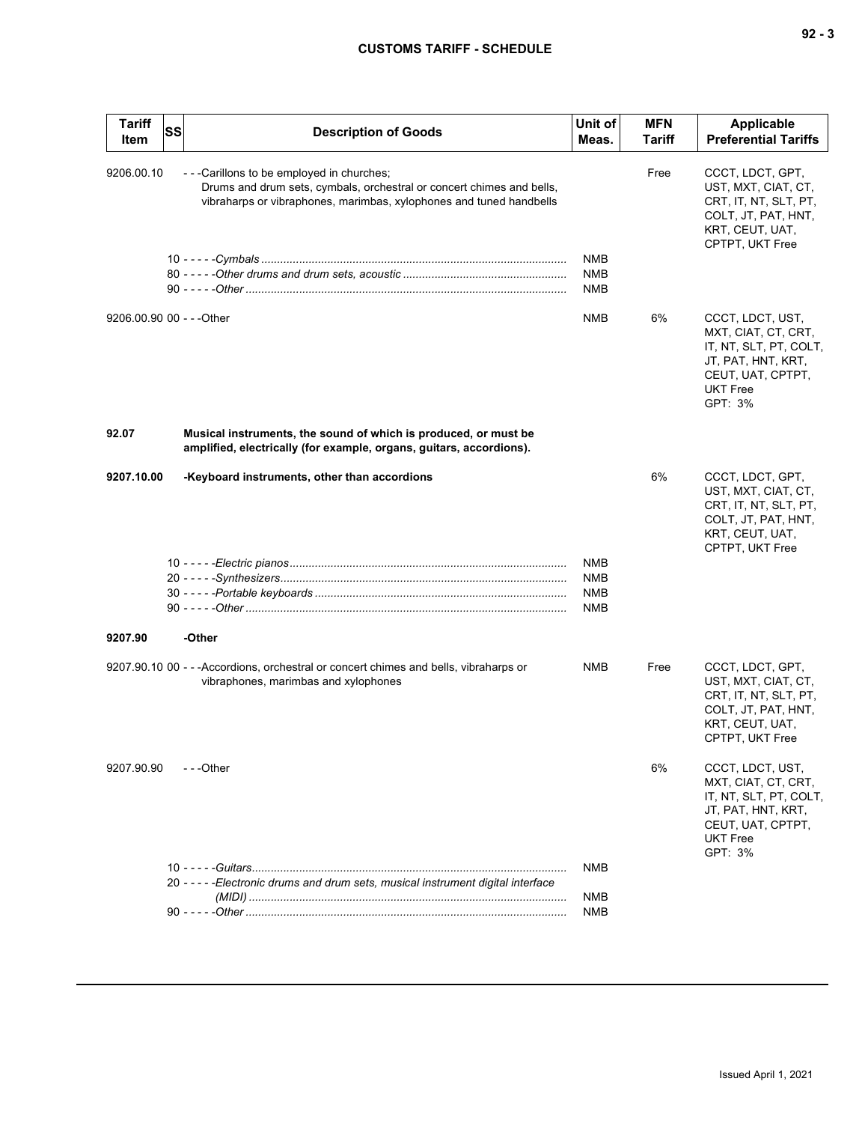| 9206.00.10<br>Free<br>CCCT, LDCT, GPT,<br>- - - Carillons to be employed in churches;<br>Drums and drum sets, cymbals, orchestral or concert chimes and bells,<br>UST, MXT, CIAT, CT,<br>vibraharps or vibraphones, marimbas, xylophones and tuned handbells<br>CRT, IT, NT, SLT, PT,<br>COLT, JT, PAT, HNT,<br>KRT, CEUT, UAT,<br>CPTPT, UKT Free<br><b>NMB</b><br><b>NMB</b><br>NMB<br>9206.00.90 00 - - - Other<br>6%<br>NMB<br>CCCT, LDCT, UST,<br>MXT, CIAT, CT, CRT,<br>IT, NT, SLT, PT, COLT,<br>JT, PAT, HNT, KRT,<br>CEUT, UAT, CPTPT,<br><b>UKT Free</b><br>GPT: 3%<br>92.07<br>Musical instruments, the sound of which is produced, or must be<br>amplified, electrically (for example, organs, guitars, accordions).<br>6%<br>9207.10.00<br>-Keyboard instruments, other than accordions<br>CCCT, LDCT, GPT,<br>UST, MXT, CIAT, CT,<br>CRT, IT, NT, SLT, PT,<br>COLT, JT, PAT, HNT,<br>KRT, CEUT, UAT,<br>CPTPT, UKT Free<br><b>NMB</b><br><b>NMB</b><br>NMB<br>NMB<br>-Other<br>9207.90<br>9207.90.10 00 - - - Accordions, orchestral or concert chimes and bells, vibraharps or<br>NMB<br>Free<br>CCCT, LDCT, GPT,<br>UST, MXT, CIAT, CT,<br>vibraphones, marimbas and xylophones<br>CRT, IT, NT, SLT, PT,<br>COLT, JT, PAT, HNT,<br>KRT, CEUT, UAT,<br>CPTPT, UKT Free<br>$-$ - -Other<br>6%<br>CCCT, LDCT, UST,<br>9207.90.90<br>MXT, CIAT, CT, CRT,<br>IT, NT, SLT, PT, COLT,<br>JT, PAT, HNT, KRT,<br>CEUT, UAT, CPTPT,<br><b>UKT Free</b><br>GPT: 3%<br>NMB<br>20 - - - - - Electronic drums and drum sets, musical instrument digital interface<br>NMB<br>NMB | <b>Tariff</b><br>Item | <b>SS</b> | <b>Description of Goods</b> | Unit of<br>Meas. | <b>MFN</b><br><b>Tariff</b> | Applicable<br><b>Preferential Tariffs</b> |
|-----------------------------------------------------------------------------------------------------------------------------------------------------------------------------------------------------------------------------------------------------------------------------------------------------------------------------------------------------------------------------------------------------------------------------------------------------------------------------------------------------------------------------------------------------------------------------------------------------------------------------------------------------------------------------------------------------------------------------------------------------------------------------------------------------------------------------------------------------------------------------------------------------------------------------------------------------------------------------------------------------------------------------------------------------------------------------------------------------------------------------------------------------------------------------------------------------------------------------------------------------------------------------------------------------------------------------------------------------------------------------------------------------------------------------------------------------------------------------------------------------------------------------------------------------------------------------------|-----------------------|-----------|-----------------------------|------------------|-----------------------------|-------------------------------------------|
|                                                                                                                                                                                                                                                                                                                                                                                                                                                                                                                                                                                                                                                                                                                                                                                                                                                                                                                                                                                                                                                                                                                                                                                                                                                                                                                                                                                                                                                                                                                                                                                   |                       |           |                             |                  |                             |                                           |
|                                                                                                                                                                                                                                                                                                                                                                                                                                                                                                                                                                                                                                                                                                                                                                                                                                                                                                                                                                                                                                                                                                                                                                                                                                                                                                                                                                                                                                                                                                                                                                                   |                       |           |                             |                  |                             |                                           |
|                                                                                                                                                                                                                                                                                                                                                                                                                                                                                                                                                                                                                                                                                                                                                                                                                                                                                                                                                                                                                                                                                                                                                                                                                                                                                                                                                                                                                                                                                                                                                                                   |                       |           |                             |                  |                             |                                           |
|                                                                                                                                                                                                                                                                                                                                                                                                                                                                                                                                                                                                                                                                                                                                                                                                                                                                                                                                                                                                                                                                                                                                                                                                                                                                                                                                                                                                                                                                                                                                                                                   |                       |           |                             |                  |                             |                                           |
|                                                                                                                                                                                                                                                                                                                                                                                                                                                                                                                                                                                                                                                                                                                                                                                                                                                                                                                                                                                                                                                                                                                                                                                                                                                                                                                                                                                                                                                                                                                                                                                   |                       |           |                             |                  |                             |                                           |
|                                                                                                                                                                                                                                                                                                                                                                                                                                                                                                                                                                                                                                                                                                                                                                                                                                                                                                                                                                                                                                                                                                                                                                                                                                                                                                                                                                                                                                                                                                                                                                                   |                       |           |                             |                  |                             |                                           |
|                                                                                                                                                                                                                                                                                                                                                                                                                                                                                                                                                                                                                                                                                                                                                                                                                                                                                                                                                                                                                                                                                                                                                                                                                                                                                                                                                                                                                                                                                                                                                                                   |                       |           |                             |                  |                             |                                           |
|                                                                                                                                                                                                                                                                                                                                                                                                                                                                                                                                                                                                                                                                                                                                                                                                                                                                                                                                                                                                                                                                                                                                                                                                                                                                                                                                                                                                                                                                                                                                                                                   |                       |           |                             |                  |                             |                                           |
|                                                                                                                                                                                                                                                                                                                                                                                                                                                                                                                                                                                                                                                                                                                                                                                                                                                                                                                                                                                                                                                                                                                                                                                                                                                                                                                                                                                                                                                                                                                                                                                   |                       |           |                             |                  |                             |                                           |
|                                                                                                                                                                                                                                                                                                                                                                                                                                                                                                                                                                                                                                                                                                                                                                                                                                                                                                                                                                                                                                                                                                                                                                                                                                                                                                                                                                                                                                                                                                                                                                                   |                       |           |                             |                  |                             |                                           |
|                                                                                                                                                                                                                                                                                                                                                                                                                                                                                                                                                                                                                                                                                                                                                                                                                                                                                                                                                                                                                                                                                                                                                                                                                                                                                                                                                                                                                                                                                                                                                                                   |                       |           |                             |                  |                             |                                           |
|                                                                                                                                                                                                                                                                                                                                                                                                                                                                                                                                                                                                                                                                                                                                                                                                                                                                                                                                                                                                                                                                                                                                                                                                                                                                                                                                                                                                                                                                                                                                                                                   |                       |           |                             |                  |                             |                                           |
|                                                                                                                                                                                                                                                                                                                                                                                                                                                                                                                                                                                                                                                                                                                                                                                                                                                                                                                                                                                                                                                                                                                                                                                                                                                                                                                                                                                                                                                                                                                                                                                   |                       |           |                             |                  |                             |                                           |
|                                                                                                                                                                                                                                                                                                                                                                                                                                                                                                                                                                                                                                                                                                                                                                                                                                                                                                                                                                                                                                                                                                                                                                                                                                                                                                                                                                                                                                                                                                                                                                                   |                       |           |                             |                  |                             |                                           |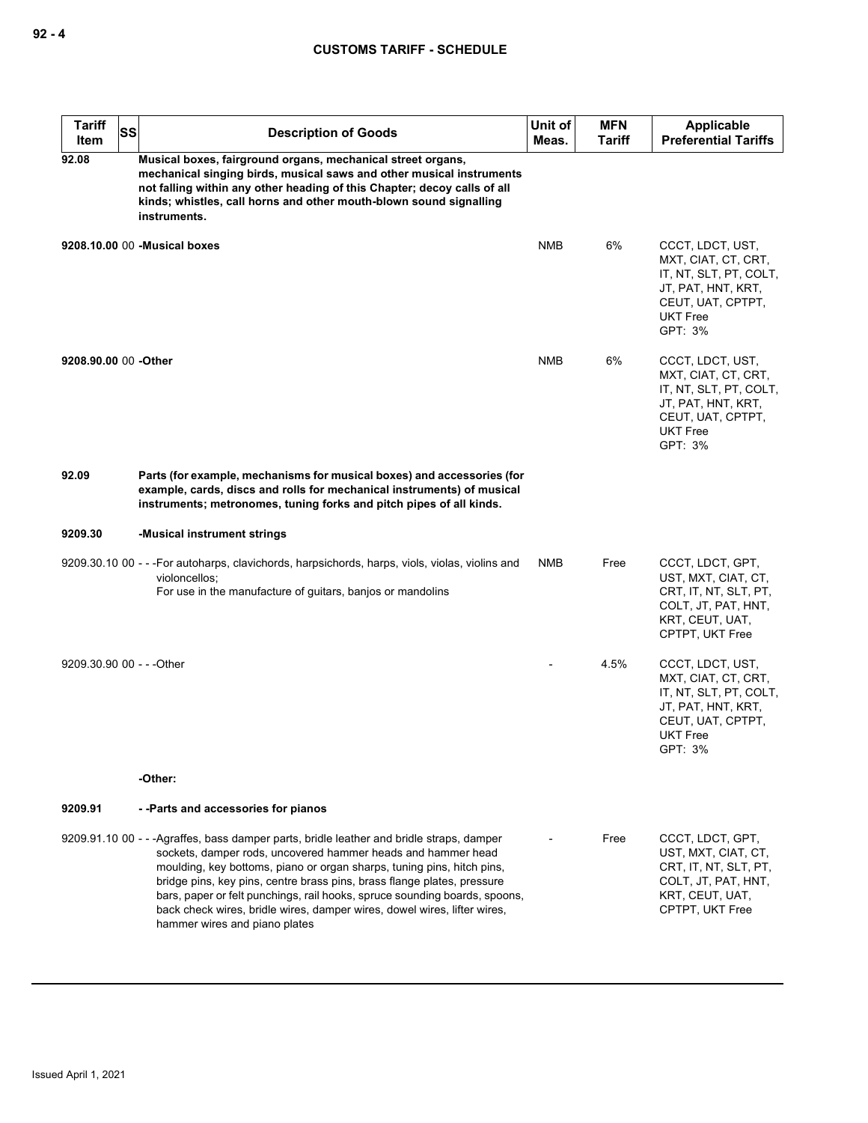| <b>Tariff</b><br>SS<br>Item                   | <b>Description of Goods</b>                                                                                                                                                                                                                                                                                                                                                                                                                                                                               | Unit of<br>Meas. | <b>MFN</b><br><b>Tariff</b> | Applicable<br><b>Preferential Tariffs</b>                                                                                                  |  |  |
|-----------------------------------------------|-----------------------------------------------------------------------------------------------------------------------------------------------------------------------------------------------------------------------------------------------------------------------------------------------------------------------------------------------------------------------------------------------------------------------------------------------------------------------------------------------------------|------------------|-----------------------------|--------------------------------------------------------------------------------------------------------------------------------------------|--|--|
| 92.08                                         | Musical boxes, fairground organs, mechanical street organs,<br>mechanical singing birds, musical saws and other musical instruments<br>not falling within any other heading of this Chapter; decoy calls of all<br>kinds; whistles, call horns and other mouth-blown sound signalling<br>instruments.                                                                                                                                                                                                     |                  |                             |                                                                                                                                            |  |  |
|                                               | 9208.10.00 00 - Musical boxes                                                                                                                                                                                                                                                                                                                                                                                                                                                                             | NMB              | 6%                          | CCCT, LDCT, UST,<br>MXT, CIAT, CT, CRT,<br>IT, NT, SLT, PT, COLT,<br>JT, PAT, HNT, KRT,<br>CEUT, UAT, CPTPT,<br><b>UKT Free</b><br>GPT: 3% |  |  |
| 9208.90.00 00 -Other                          |                                                                                                                                                                                                                                                                                                                                                                                                                                                                                                           | NMB              | 6%                          | CCCT, LDCT, UST,<br>MXT, CIAT, CT, CRT,<br>IT, NT, SLT, PT, COLT,<br>JT, PAT, HNT, KRT,<br>CEUT, UAT, CPTPT,<br><b>UKT Free</b><br>GPT: 3% |  |  |
| 92.09                                         | Parts (for example, mechanisms for musical boxes) and accessories (for<br>example, cards, discs and rolls for mechanical instruments) of musical<br>instruments; metronomes, tuning forks and pitch pipes of all kinds.                                                                                                                                                                                                                                                                                   |                  |                             |                                                                                                                                            |  |  |
| 9209.30                                       | -Musical instrument strings                                                                                                                                                                                                                                                                                                                                                                                                                                                                               |                  |                             |                                                                                                                                            |  |  |
|                                               | 9209.30.10 00 - - -For autoharps, clavichords, harpsichords, harps, viols, violas, violins and<br>violoncellos;<br>For use in the manufacture of guitars, banjos or mandolins                                                                                                                                                                                                                                                                                                                             | NMB              | Free                        | CCCT, LDCT, GPT,<br>UST, MXT, CIAT, CT,<br>CRT, IT, NT, SLT, PT,<br>COLT, JT, PAT, HNT,<br>KRT, CEUT, UAT,<br>CPTPT, UKT Free              |  |  |
| 9209.30.90 00 - - - Other                     |                                                                                                                                                                                                                                                                                                                                                                                                                                                                                                           |                  | 4.5%                        | CCCT, LDCT, UST,<br>MXT, CIAT, CT, CRT,<br>IT, NT, SLT, PT, COLT,<br>JT, PAT, HNT, KRT,<br>CEUT, UAT, CPTPT,<br><b>UKT Free</b><br>GPT: 3% |  |  |
|                                               | -Other:                                                                                                                                                                                                                                                                                                                                                                                                                                                                                                   |                  |                             |                                                                                                                                            |  |  |
| 9209.91<br>--Parts and accessories for pianos |                                                                                                                                                                                                                                                                                                                                                                                                                                                                                                           |                  |                             |                                                                                                                                            |  |  |
|                                               | 9209.91.10 00 - - - Agraffes, bass damper parts, bridle leather and bridle straps, damper<br>sockets, damper rods, uncovered hammer heads and hammer head<br>moulding, key bottoms, piano or organ sharps, tuning pins, hitch pins,<br>bridge pins, key pins, centre brass pins, brass flange plates, pressure<br>bars, paper or felt punchings, rail hooks, spruce sounding boards, spoons,<br>back check wires, bridle wires, damper wires, dowel wires, lifter wires,<br>hammer wires and piano plates |                  | Free                        | CCCT, LDCT, GPT,<br>UST, MXT, CIAT, CT,<br>CRT, IT, NT, SLT, PT,<br>COLT, JT, PAT, HNT,<br>KRT, CEUT, UAT,<br>CPTPT, UKT Free              |  |  |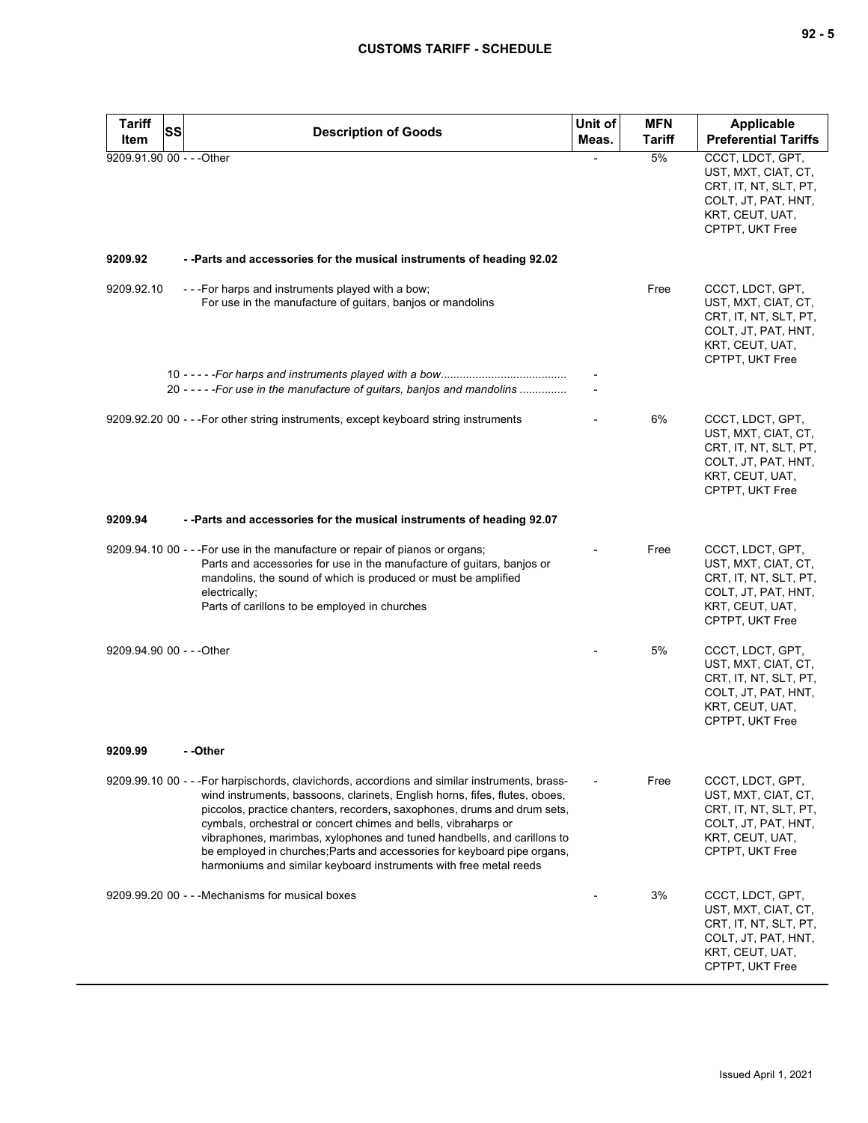| Tariff<br>Item            | <b>SS</b> | <b>Description of Goods</b>                                                                                                                                                                                                                                                                                                                                                                                                                                                                                                                           | Unit of<br>Meas.         | <b>MFN</b><br><b>Tariff</b> | <b>Applicable</b><br><b>Preferential Tariffs</b>                                                                              |
|---------------------------|-----------|-------------------------------------------------------------------------------------------------------------------------------------------------------------------------------------------------------------------------------------------------------------------------------------------------------------------------------------------------------------------------------------------------------------------------------------------------------------------------------------------------------------------------------------------------------|--------------------------|-----------------------------|-------------------------------------------------------------------------------------------------------------------------------|
| 9209.91.90 00 - - - Other |           |                                                                                                                                                                                                                                                                                                                                                                                                                                                                                                                                                       | $\overline{\phantom{0}}$ | 5%                          | CCCT, LDCT, GPT,<br>UST, MXT, CIAT, CT,<br>CRT, IT, NT, SLT, PT,<br>COLT, JT, PAT, HNT,<br>KRT, CEUT, UAT,<br>CPTPT, UKT Free |
| 9209.92                   |           | - - Parts and accessories for the musical instruments of heading 92.02                                                                                                                                                                                                                                                                                                                                                                                                                                                                                |                          |                             |                                                                                                                               |
| 9209.92.10                |           | - - - For harps and instruments played with a bow;<br>For use in the manufacture of guitars, banjos or mandolins                                                                                                                                                                                                                                                                                                                                                                                                                                      |                          | Free                        | CCCT, LDCT, GPT,<br>UST, MXT, CIAT, CT,<br>CRT, IT, NT, SLT, PT,<br>COLT, JT, PAT, HNT,<br>KRT, CEUT, UAT,<br>CPTPT, UKT Free |
|                           |           | 20 - - - - - For use in the manufacture of guitars, banjos and mandolins                                                                                                                                                                                                                                                                                                                                                                                                                                                                              |                          |                             |                                                                                                                               |
|                           |           | 9209.92.20 00 - - - For other string instruments, except keyboard string instruments                                                                                                                                                                                                                                                                                                                                                                                                                                                                  |                          | 6%                          | CCCT, LDCT, GPT,<br>UST, MXT, CIAT, CT,<br>CRT, IT, NT, SLT, PT,<br>COLT, JT, PAT, HNT,<br>KRT, CEUT, UAT,<br>CPTPT, UKT Free |
| 9209.94                   |           | - - Parts and accessories for the musical instruments of heading 92.07                                                                                                                                                                                                                                                                                                                                                                                                                                                                                |                          |                             |                                                                                                                               |
|                           |           | 9209.94.10 00 - - - For use in the manufacture or repair of pianos or organs;<br>Parts and accessories for use in the manufacture of guitars, banjos or<br>mandolins, the sound of which is produced or must be amplified<br>electrically;<br>Parts of carillons to be employed in churches                                                                                                                                                                                                                                                           |                          | Free                        | CCCT, LDCT, GPT,<br>UST, MXT, CIAT, CT,<br>CRT, IT, NT, SLT, PT,<br>COLT, JT, PAT, HNT,<br>KRT, CEUT, UAT,<br>CPTPT, UKT Free |
| 9209.94.90 00 - - - Other |           |                                                                                                                                                                                                                                                                                                                                                                                                                                                                                                                                                       |                          | 5%                          | CCCT, LDCT, GPT,<br>UST, MXT, CIAT, CT,<br>CRT, IT, NT, SLT, PT,<br>COLT, JT, PAT, HNT,<br>KRT, CEUT, UAT,<br>CPTPT, UKT Free |
| 9209.99                   |           | - -Other                                                                                                                                                                                                                                                                                                                                                                                                                                                                                                                                              |                          |                             |                                                                                                                               |
|                           |           | 9209.99.10 00 - - -For harpischords, clavichords, accordions and similar instruments, brass-<br>wind instruments, bassoons, clarinets, English horns, fifes, flutes, oboes,<br>piccolos, practice chanters, recorders, saxophones, drums and drum sets,<br>cymbals, orchestral or concert chimes and bells, vibraharps or<br>vibraphones, marimbas, xylophones and tuned handbells, and carillons to<br>be employed in churches; Parts and accessories for keyboard pipe organs,<br>harmoniums and similar keyboard instruments with free metal reeds |                          | Free                        | CCCT, LDCT, GPT,<br>UST, MXT, CIAT, CT,<br>CRT, IT, NT, SLT, PT,<br>COLT, JT, PAT, HNT,<br>KRT, CEUT, UAT,<br>CPTPT, UKT Free |
|                           |           | 9209.99.20 00 - - - Mechanisms for musical boxes                                                                                                                                                                                                                                                                                                                                                                                                                                                                                                      |                          | 3%                          | CCCT, LDCT, GPT,<br>UST, MXT, CIAT, CT,<br>CRT, IT, NT, SLT, PT,<br>COLT, JT, PAT, HNT,<br>KRT, CEUT, UAT,<br>CPTPT, UKT Free |